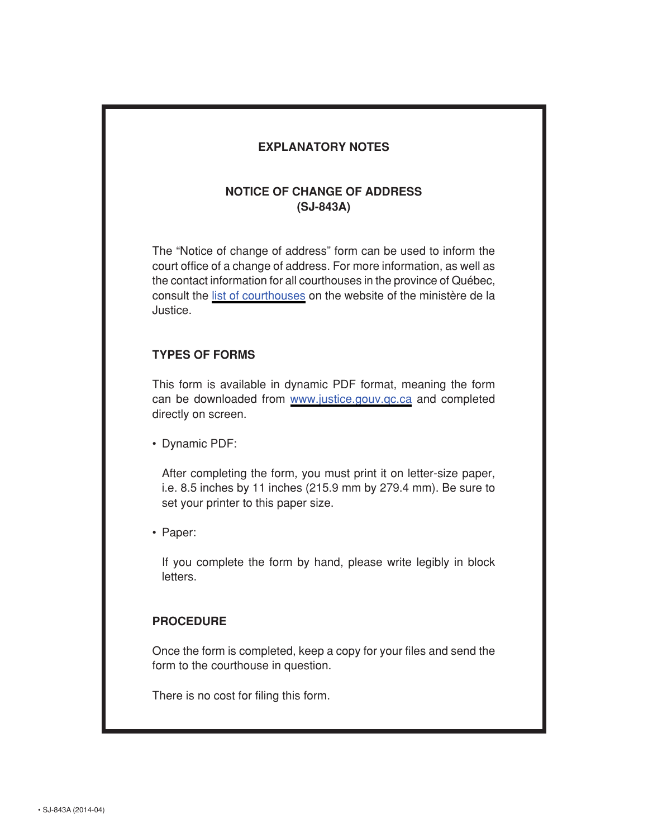## **EXPLANATORY NOTES**

## **NOTICE OF CHANGE OF ADDRESS (SJ-843A)**

The "Notice of change of address" form can be used to inform the court office of a change of address. For more information, as well as the contact information for all courthouses in the province of Québec, consult the [list of courthouses](http://www.justice.gouv.qc.ca/en/join-us/find-a-courthouse/) on the website of the ministère de la Justice.

## **TYPES OF FORMS**

This form is available in dynamic PDF format, meaning the form can be downloaded from [www.justice.gouv.qc.ca](http://www.justice.gouv.qc.ca/en/documentation-center/forms-and-models/) and completed directly on screen.

• Dynamic PDF:

After completing the form, you must print it on letter-size paper, i.e. 8.5 inches by 11 inches (215.9 mm by 279.4 mm). Be sure to set your printer to this paper size.

• Paper:

If you complete the form by hand, please write legibly in block letters.

## **PROCEDURE**

Once the form is completed, keep a copy for your files and send the form to the courthouse in question.

There is no cost for filing this form.